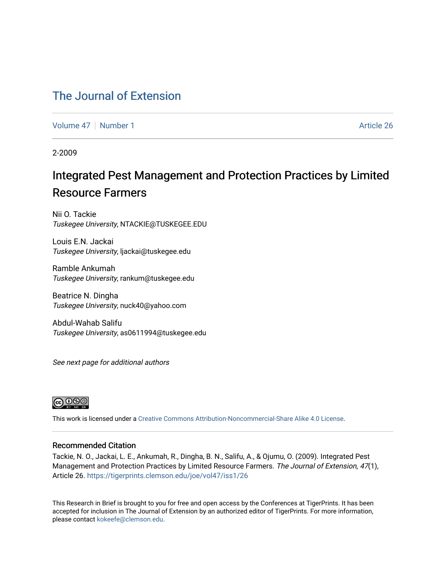### [The Journal of Extension](https://tigerprints.clemson.edu/joe)

[Volume 47](https://tigerprints.clemson.edu/joe/vol47) | [Number 1](https://tigerprints.clemson.edu/joe/vol47/iss1) Article 26

2-2009

## Integrated Pest Management and Protection Practices by Limited Resource Farmers

Nii O. Tackie Tuskegee University, NTACKIE@TUSKEGEE.EDU

Louis E.N. Jackai Tuskegee University, ljackai@tuskegee.edu

Ramble Ankumah Tuskegee University, rankum@tuskegee.edu

Beatrice N. Dingha Tuskegee University, nuck40@yahoo.com

Abdul-Wahab Salifu Tuskegee University, as0611994@tuskegee.edu

See next page for additional authors



This work is licensed under a [Creative Commons Attribution-Noncommercial-Share Alike 4.0 License.](https://creativecommons.org/licenses/by-nc-sa/4.0/)

#### Recommended Citation

Tackie, N. O., Jackai, L. E., Ankumah, R., Dingha, B. N., Salifu, A., & Ojumu, O. (2009). Integrated Pest Management and Protection Practices by Limited Resource Farmers. The Journal of Extension, 47(1), Article 26. <https://tigerprints.clemson.edu/joe/vol47/iss1/26>

This Research in Brief is brought to you for free and open access by the Conferences at TigerPrints. It has been accepted for inclusion in The Journal of Extension by an authorized editor of TigerPrints. For more information, please contact [kokeefe@clemson.edu](mailto:kokeefe@clemson.edu).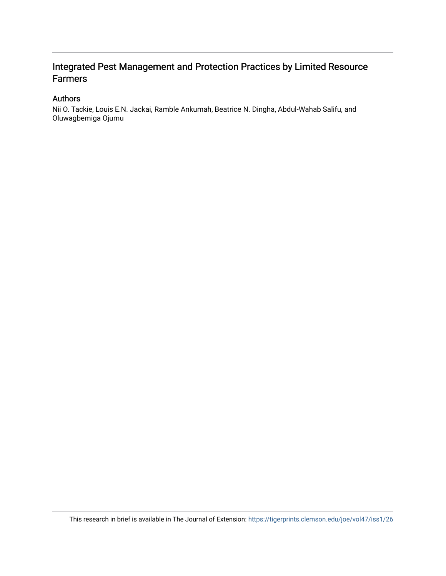### Authors

Nii O. Tackie, Louis E.N. Jackai, Ramble Ankumah, Beatrice N. Dingha, Abdul-Wahab Salifu, and Oluwagbemiga Ojumu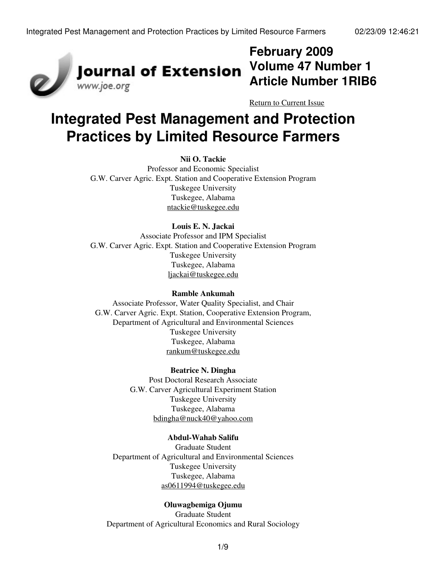

## **February 2009 Volume 47 Number 1 Article Number 1RIB6**

[Return to Current Issue](http://www.joe.org:80/joe/2009february/)

# **Integrated Pest Management and Protection Practices by Limited Resource Farmers**

#### **Nii O. Tackie**

Professor and Economic Specialist G.W. Carver Agric. Expt. Station and Cooperative Extension Program Tuskegee University Tuskegee, Alabama [ntackie@tuskegee.edu](mailto:ntackie@tuskegee.edu)

### **Louis E. N. Jackai**

Associate Professor and IPM Specialist G.W. Carver Agric. Expt. Station and Cooperative Extension Program Tuskegee University Tuskegee, Alabama [ljackai@tuskegee.edu](mailto:ljackai@tuskegee.edu)

#### **Ramble Ankumah**

Associate Professor, Water Quality Specialist, and Chair G.W. Carver Agric. Expt. Station, Cooperative Extension Program, Department of Agricultural and Environmental Sciences Tuskegee University Tuskegee, Alabama [rankum@tuskegee.edu](mailto:rankum@tuskegee.edu)

#### **Beatrice N. Dingha**

Post Doctoral Research Associate G.W. Carver Agricultural Experiment Station Tuskegee University Tuskegee, Alabama [bdingha@nuck40@yahoo.com](mailto:bdingha@nuck40@yahoo.com)

#### **Abdul-Wahab Salifu**

Graduate Student Department of Agricultural and Environmental Sciences Tuskegee University Tuskegee, Alabama [as0611994@tuskegee.edu](mailto:as0611994@tuskegee.edu)

#### **Oluwagbemiga Ojumu**

Graduate Student Department of Agricultural Economics and Rural Sociology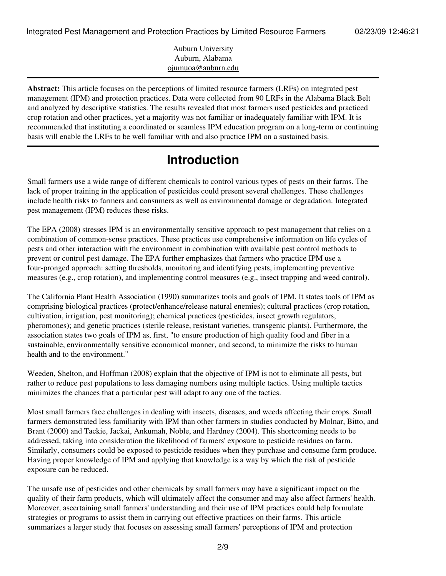Auburn University Auburn, Alabama [ojumuoa@auburn.edu](mailto:ojumuoa@auburn.edu)

**Abstract:** This article focuses on the perceptions of limited resource farmers (LRFs) on integrated pest management (IPM) and protection practices. Data were collected from 90 LRFs in the Alabama Black Belt and analyzed by descriptive statistics. The results revealed that most farmers used pesticides and practiced crop rotation and other practices, yet a majority was not familiar or inadequately familiar with IPM. It is recommended that instituting a coordinated or seamless IPM education program on a long-term or continuing basis will enable the LRFs to be well familiar with and also practice IPM on a sustained basis.

## **Introduction**

Small farmers use a wide range of different chemicals to control various types of pests on their farms. The lack of proper training in the application of pesticides could present several challenges. These challenges include health risks to farmers and consumers as well as environmental damage or degradation. Integrated pest management (IPM) reduces these risks.

The EPA (2008) stresses IPM is an environmentally sensitive approach to pest management that relies on a combination of common-sense practices. These practices use comprehensive information on life cycles of pests and other interaction with the environment in combination with available pest control methods to prevent or control pest damage. The EPA further emphasizes that farmers who practice IPM use a four-pronged approach: setting thresholds, monitoring and identifying pests, implementing preventive measures (e.g., crop rotation), and implementing control measures (e.g., insect trapping and weed control).

The California Plant Health Association (1990) summarizes tools and goals of IPM. It states tools of IPM as comprising biological practices (protect/enhance/release natural enemies); cultural practices (crop rotation, cultivation, irrigation, pest monitoring); chemical practices (pesticides, insect growth regulators, pheromones); and genetic practices (sterile release, resistant varieties, transgenic plants). Furthermore, the association states two goals of IPM as, first, "to ensure production of high quality food and fiber in a sustainable, environmentally sensitive economical manner, and second, to minimize the risks to human health and to the environment."

Weeden, Shelton, and Hoffman (2008) explain that the objective of IPM is not to eliminate all pests, but rather to reduce pest populations to less damaging numbers using multiple tactics. Using multiple tactics minimizes the chances that a particular pest will adapt to any one of the tactics.

Most small farmers face challenges in dealing with insects, diseases, and weeds affecting their crops. Small farmers demonstrated less familiarity with IPM than other farmers in studies conducted by Molnar, Bitto, and Brant (2000) and Tackie, Jackai, Ankumah, Noble, and Hardney (2004). This shortcoming needs to be addressed, taking into consideration the likelihood of farmers' exposure to pesticide residues on farm. Similarly, consumers could be exposed to pesticide residues when they purchase and consume farm produce. Having proper knowledge of IPM and applying that knowledge is a way by which the risk of pesticide exposure can be reduced.

The unsafe use of pesticides and other chemicals by small farmers may have a significant impact on the quality of their farm products, which will ultimately affect the consumer and may also affect farmers' health. Moreover, ascertaining small farmers' understanding and their use of IPM practices could help formulate strategies or programs to assist them in carrying out effective practices on their farms. This article summarizes a larger study that focuses on assessing small farmers' perceptions of IPM and protection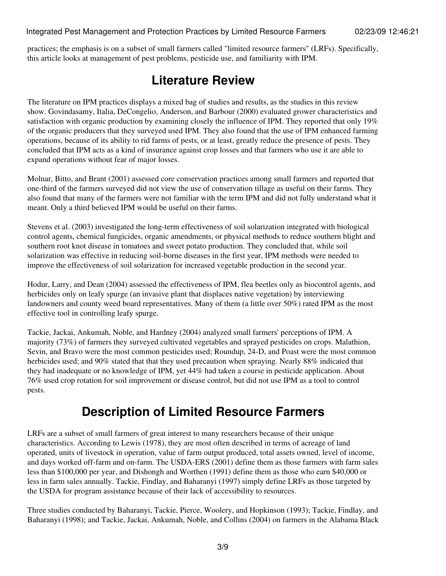practices; the emphasis is on a subset of small farmers called "limited resource farmers" (LRFs). Specifically, this article looks at management of pest problems, pesticide use, and familiarity with IPM.

### **Literature Review**

The literature on IPM practices displays a mixed bag of studies and results, as the studies in this review show. Govindasamy, Italia, DeCongelio, Anderson, and Barbour (2000) evaluated grower characteristics and satisfaction with organic production by examining closely the influence of IPM. They reported that only 19% of the organic producers that they surveyed used IPM. They also found that the use of IPM enhanced farming operations, because of its ability to rid farms of pests, or at least, greatly reduce the presence of pests. They concluded that IPM acts as a kind of insurance against crop losses and that farmers who use it are able to expand operations without fear of major losses.

Molnar, Bitto, and Brant (2001) assessed core conservation practices among small farmers and reported that one-third of the farmers surveyed did not view the use of conservation tillage as useful on their farms. They also found that many of the farmers were not familiar with the term IPM and did not fully understand what it meant. Only a third believed IPM would be useful on their farms.

Stevens et al. (2003) investigated the long-term effectiveness of soil solarization integrated with biological control agents, chemical fungicides, organic amendments, or physical methods to reduce southern blight and southern root knot disease in tomatoes and sweet potato production. They concluded that, while soil solarization was effective in reducing soil-borne diseases in the first year, IPM methods were needed to improve the effectiveness of soil solarization for increased vegetable production in the second year.

Hodur, Larry, and Dean (2004) assessed the effectiveness of IPM, flea beetles only as biocontrol agents, and herbicides only on leafy spurge (an invasive plant that displaces native vegetation) by interviewing landowners and county weed board representatives. Many of them (a little over 50%) rated IPM as the most effective tool in controlling leafy spurge.

Tackie, Jackai, Ankumah, Noble, and Hardney (2004) analyzed small farmers' perceptions of IPM. A majority (73%) of farmers they surveyed cultivated vegetables and sprayed pesticides on crops. Malathion, Sevin, and Bravo were the most common pesticides used; Roundup, 24-D, and Poast were the most common herbicides used; and 90% stated that that they used precaution when spraying. Nearly 88% indicated that they had inadequate or no knowledge of IPM, yet 44% had taken a course in pesticide application. About 76% used crop rotation for soil improvement or disease control, but did not use IPM as a tool to control pests.

### **Description of Limited Resource Farmers**

LRFs are a subset of small farmers of great interest to many researchers because of their unique characteristics. According to Lewis (1978), they are most often described in terms of acreage of land operated, units of livestock in operation, value of farm output produced, total assets owned, level of income, and days worked off-farm and on-farm. The USDA-ERS (2001) define them as those farmers with farm sales less than \$100,000 per year, and Dishongh and Worthen (1991) define them as those who earn \$40,000 or less in farm sales annually. Tackie, Findlay, and Baharanyi (1997) simply define LRFs as those targeted by the USDA for program assistance because of their lack of accessibility to resources.

Three studies conducted by Baharanyi, Tackie, Pierce, Woolery, and Hopkinson (1993); Tackie, Findlay, and Baharanyi (1998); and Tackie, Jackai, Ankumah, Noble, and Collins (2004) on farmers in the Alabama Black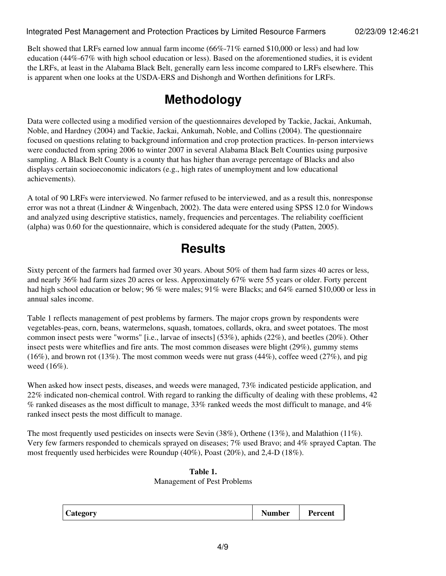Belt showed that LRFs earned low annual farm income (66%-71% earned \$10,000 or less) and had low education (44%-67% with high school education or less). Based on the aforementioned studies, it is evident the LRFs, at least in the Alabama Black Belt, generally earn less income compared to LRFs elsewhere. This is apparent when one looks at the USDA-ERS and Dishongh and Worthen definitions for LRFs.

## **Methodology**

Data were collected using a modified version of the questionnaires developed by Tackie, Jackai, Ankumah, Noble, and Hardney (2004) and Tackie, Jackai, Ankumah, Noble, and Collins (2004). The questionnaire focused on questions relating to background information and crop protection practices. In-person interviews were conducted from spring 2006 to winter 2007 in several Alabama Black Belt Counties using purposive sampling. A Black Belt County is a county that has higher than average percentage of Blacks and also displays certain socioeconomic indicators (e.g., high rates of unemployment and low educational achievements).

A total of 90 LRFs were interviewed. No farmer refused to be interviewed, and as a result this, nonresponse error was not a threat (Lindner & Wingenbach, 2002). The data were entered using SPSS 12.0 for Windows and analyzed using descriptive statistics, namely, frequencies and percentages. The reliability coefficient (alpha) was 0.60 for the questionnaire, which is considered adequate for the study (Patten, 2005).

## **Results**

Sixty percent of the farmers had farmed over 30 years. About 50% of them had farm sizes 40 acres or less, and nearly 36% had farm sizes 20 acres or less. Approximately 67% were 55 years or older. Forty percent had high school education or below; 96 % were males; 91% were Blacks; and 64% earned \$10,000 or less in annual sales income.

Table 1 reflects management of pest problems by farmers. The major crops grown by respondents were vegetables-peas, corn, beans, watermelons, squash, tomatoes, collards, okra, and sweet potatoes. The most common insect pests were "worms" [i.e., larvae of insects] (53%), aphids (22%), and beetles (20%). Other insect pests were whiteflies and fire ants. The most common diseases were blight (29%), gummy stems  $(16\%)$ , and brown rot  $(13\%)$ . The most common weeds were nut grass  $(44\%)$ , coffee weed  $(27\%)$ , and pig weed (16%).

When asked how insect pests, diseases, and weeds were managed,  $73\%$  indicated pesticide application, and 22% indicated non-chemical control. With regard to ranking the difficulty of dealing with these problems, 42 % ranked diseases as the most difficult to manage, 33% ranked weeds the most difficult to manage, and 4% ranked insect pests the most difficult to manage.

The most frequently used pesticides on insects were Sevin (38%), Orthene (13%), and Malathion (11%). Very few farmers responded to chemicals sprayed on diseases; 7% used Bravo; and 4% sprayed Captan. The most frequently used herbicides were Roundup (40%), Poast (20%), and 2,4-D (18%).

### **Table 1.** Management of Pest Problems

| $\mathbf{C}$<br><i>c</i> ategory<br>$\overline{\phantom{a}}$ | Number | 'ercent |
|--------------------------------------------------------------|--------|---------|
|--------------------------------------------------------------|--------|---------|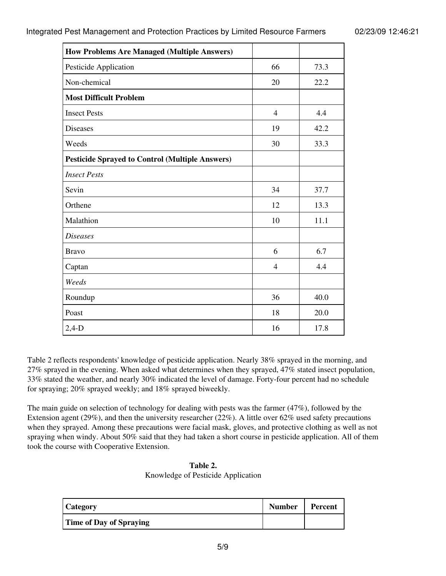| <b>How Problems Are Managed (Multiple Answers)</b>     |                |      |
|--------------------------------------------------------|----------------|------|
| Pesticide Application                                  | 66             | 73.3 |
| Non-chemical                                           | 20             | 22.2 |
| <b>Most Difficult Problem</b>                          |                |      |
| <b>Insect Pests</b>                                    | $\overline{4}$ | 4.4  |
| <b>Diseases</b>                                        | 19             | 42.2 |
| Weeds                                                  | 30             | 33.3 |
| <b>Pesticide Sprayed to Control (Multiple Answers)</b> |                |      |
| <b>Insect Pests</b>                                    |                |      |
| Sevin                                                  | 34             | 37.7 |
| Orthene                                                | 12             | 13.3 |
| Malathion                                              | 10             | 11.1 |
| <b>Diseases</b>                                        |                |      |
| <b>Bravo</b>                                           | 6              | 6.7  |
| Captan                                                 | $\overline{4}$ | 4.4  |
| Weeds                                                  |                |      |
| Roundup                                                | 36             | 40.0 |
| Poast                                                  | 18             | 20.0 |
| $2,4-D$                                                | 16             | 17.8 |

Table 2 reflects respondents' knowledge of pesticide application. Nearly 38% sprayed in the morning, and 27% sprayed in the evening. When asked what determines when they sprayed, 47% stated insect population, 33% stated the weather, and nearly 30% indicated the level of damage. Forty-four percent had no schedule for spraying; 20% sprayed weekly; and 18% sprayed biweekly.

The main guide on selection of technology for dealing with pests was the farmer (47%), followed by the Extension agent (29%), and then the university researcher (22%). A little over 62% used safety precautions when they sprayed. Among these precautions were facial mask, gloves, and protective clothing as well as not spraying when windy. About 50% said that they had taken a short course in pesticide application. All of them took the course with Cooperative Extension.

| Table 2.                           |
|------------------------------------|
| Knowledge of Pesticide Application |

| <b>Category</b>                | <b>Number</b> | Percent |
|--------------------------------|---------------|---------|
| <b>Time of Day of Spraying</b> |               |         |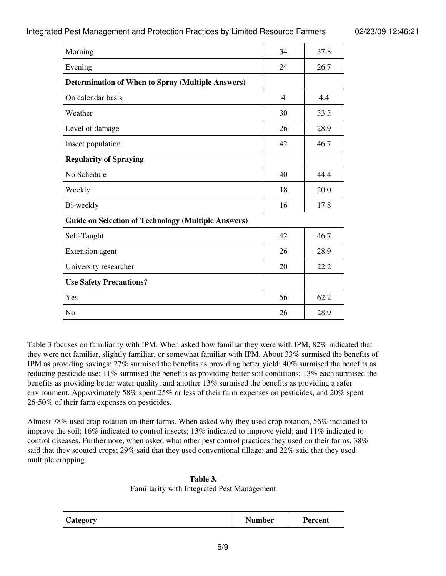| Morning                                                    | 34             | 37.8 |
|------------------------------------------------------------|----------------|------|
| Evening                                                    | 24             | 26.7 |
| <b>Determination of When to Spray (Multiple Answers)</b>   |                |      |
| On calendar basis                                          | $\overline{4}$ | 4.4  |
| Weather                                                    | 30             | 33.3 |
| Level of damage                                            | 26             | 28.9 |
| Insect population                                          | 42             | 46.7 |
| <b>Regularity of Spraying</b>                              |                |      |
| No Schedule                                                | 40             | 44.4 |
| Weekly                                                     | 18             | 20.0 |
| Bi-weekly                                                  | 16             | 17.8 |
| <b>Guide on Selection of Technology (Multiple Answers)</b> |                |      |
| Self-Taught                                                | 42             | 46.7 |
| <b>Extension</b> agent                                     | 26             | 28.9 |
| University researcher                                      | 20             | 22.2 |
| <b>Use Safety Precautions?</b>                             |                |      |
| Yes                                                        | 56             | 62.2 |
| N <sub>o</sub>                                             | 26             | 28.9 |

Table 3 focuses on familiarity with IPM. When asked how familiar they were with IPM, 82% indicated that they were not familiar, slightly familiar, or somewhat familiar with IPM. About 33% surmised the benefits of IPM as providing savings; 27% surmised the benefits as providing better yield; 40% surmised the benefits as reducing pesticide use; 11% surmised the benefits as providing better soil conditions; 13% each surmised the benefits as providing better water quality; and another 13% surmised the benefits as providing a safer environment. Approximately 58% spent 25% or less of their farm expenses on pesticides, and 20% spent 26-50% of their farm expenses on pesticides.

Almost 78% used crop rotation on their farms. When asked why they used crop rotation, 56% indicated to improve the soil; 16% indicated to control insects; 13% indicated to improve yield; and 11% indicated to control diseases. Furthermore, when asked what other pest control practices they used on their farms, 38% said that they scouted crops; 29% said that they used conventional tillage; and 22% said that they used multiple cropping.

**Table 3.**

Familiarity with Integrated Pest Management

| $\sim$<br><i>L</i> ategory<br>-<br>$\overline{\phantom{a}}$ | Number | 'ercent<br>-ет |
|-------------------------------------------------------------|--------|----------------|
|-------------------------------------------------------------|--------|----------------|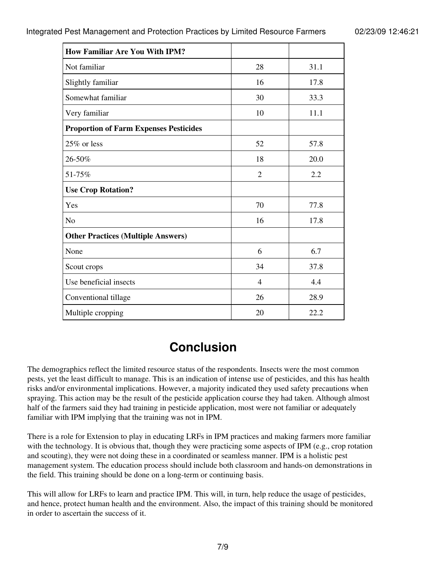| <b>How Familiar Are You With IPM?</b>         |                |      |
|-----------------------------------------------|----------------|------|
| Not familiar                                  | 28             | 31.1 |
| Slightly familiar                             | 16             | 17.8 |
| Somewhat familiar                             | 30             | 33.3 |
| Very familiar                                 | 10             | 11.1 |
| <b>Proportion of Farm Expenses Pesticides</b> |                |      |
| 25% or less                                   | 52             | 57.8 |
| 26-50%                                        | 18             | 20.0 |
| 51-75%                                        | $\overline{2}$ | 2.2  |
| <b>Use Crop Rotation?</b>                     |                |      |
| Yes                                           | 70             | 77.8 |
| No                                            | 16             | 17.8 |
| <b>Other Practices (Multiple Answers)</b>     |                |      |
| None                                          | 6              | 6.7  |
| Scout crops                                   | 34             | 37.8 |
| Use beneficial insects                        | 4              | 4.4  |
| Conventional tillage                          | 26             | 28.9 |
| Multiple cropping                             | 20             | 22.2 |

### **Conclusion**

The demographics reflect the limited resource status of the respondents. Insects were the most common pests, yet the least difficult to manage. This is an indication of intense use of pesticides, and this has health risks and/or environmental implications. However, a majority indicated they used safety precautions when spraying. This action may be the result of the pesticide application course they had taken. Although almost half of the farmers said they had training in pesticide application, most were not familiar or adequately familiar with IPM implying that the training was not in IPM.

There is a role for Extension to play in educating LRFs in IPM practices and making farmers more familiar with the technology. It is obvious that, though they were practicing some aspects of IPM (e.g., crop rotation and scouting), they were not doing these in a coordinated or seamless manner. IPM is a holistic pest management system. The education process should include both classroom and hands-on demonstrations in the field. This training should be done on a long-term or continuing basis.

This will allow for LRFs to learn and practice IPM. This will, in turn, help reduce the usage of pesticides, and hence, protect human health and the environment. Also, the impact of this training should be monitored in order to ascertain the success of it.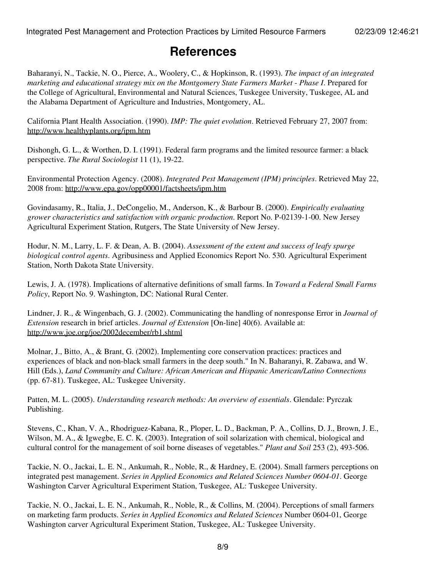### **References**

Baharanyi, N., Tackie, N. O., Pierce, A., Woolery, C., & Hopkinson, R. (1993). *The impact of an integrated marketing and educational strategy mix on the Montgomery State Farmers Market* - *Phase I*. Prepared for the College of Agricultural, Environmental and Natural Sciences, Tuskegee University, Tuskegee, AL and the Alabama Department of Agriculture and Industries, Montgomery, AL.

California Plant Health Association. (1990). *IMP: The quiet evolution*. Retrieved February 27, 2007 from: <http://www.healthyplants.org/ipm.htm>

Dishongh, G. L., & Worthen, D. I. (1991). Federal farm programs and the limited resource farmer: a black perspective. *The Rural Sociologist* 11 (1), 19-22.

Environmental Protection Agency. (2008). *Integrated Pest Management (IPM) principles*. Retrieved May 22, 2008 from: <http://www.epa.gov/opp00001/factsheets/ipm.htm>

Govindasamy, R., Italia, J., DeCongelio, M., Anderson, K., & Barbour B. (2000). *Empirically evaluating grower characteristics and satisfaction with organic production*. Report No. P-02139-1-00. New Jersey Agricultural Experiment Station, Rutgers, The State University of New Jersey.

Hodur, N. M., Larry, L. F. & Dean, A. B. (2004). *Assessment of the extent and success of leafy spurge biological control agents*. Agribusiness and Applied Economics Report No. 530. Agricultural Experiment Station, North Dakota State University.

Lewis, J. A. (1978). Implications of alternative definitions of small farms. In *Toward a Federal Small Farms Policy*, Report No. 9. Washington, DC: National Rural Center.

Lindner, J. R., & Wingenbach, G. J. (2002). Communicating the handling of nonresponse Error in *Journal of Extension* research in brief articles. *Journal of Extension* [On-line] 40(6). Available at: <http://www.joe.org/joe/2002december/rb1.shtml>

Molnar, J., Bitto, A., & Brant, G. (2002). Implementing core conservation practices: practices and experiences of black and non-black small farmers in the deep south." In N. Baharanyi, R. Zabawa, and W. Hill (Eds.), *Land Community and Culture: African American and Hispanic American/Latino Connections* (pp. 67-81). Tuskegee, AL: Tuskegee University.

Patten, M. L. (2005). *Understanding research methods: An overview of essentials*. Glendale: Pyrczak Publishing.

Stevens, C., Khan, V. A., Rhodriguez-Kabana, R., Ploper, L. D., Backman, P. A., Collins, D. J., Brown, J. E., Wilson, M. A., & Igwegbe, E. C. K. (2003). Integration of soil solarization with chemical, biological and cultural control for the management of soil borne diseases of vegetables." *Plant and Soil* 253 (2), 493-506.

Tackie, N. O., Jackai, L. E. N., Ankumah, R., Noble, R., & Hardney, E. (2004). Small farmers perceptions on integrated pest management. *Series in Applied Economics and Related Sciences Number 0604-01*. George Washington Carver Agricultural Experiment Station, Tuskegee, AL: Tuskegee University.

Tackie, N. O., Jackai, L. E. N., Ankumah, R., Noble, R., & Collins, M. (2004). Perceptions of small farmers on marketing farm products. *Series in Applied Economics and Related Sciences* Number 0604-01, George Washington carver Agricultural Experiment Station, Tuskegee, AL: Tuskegee University.